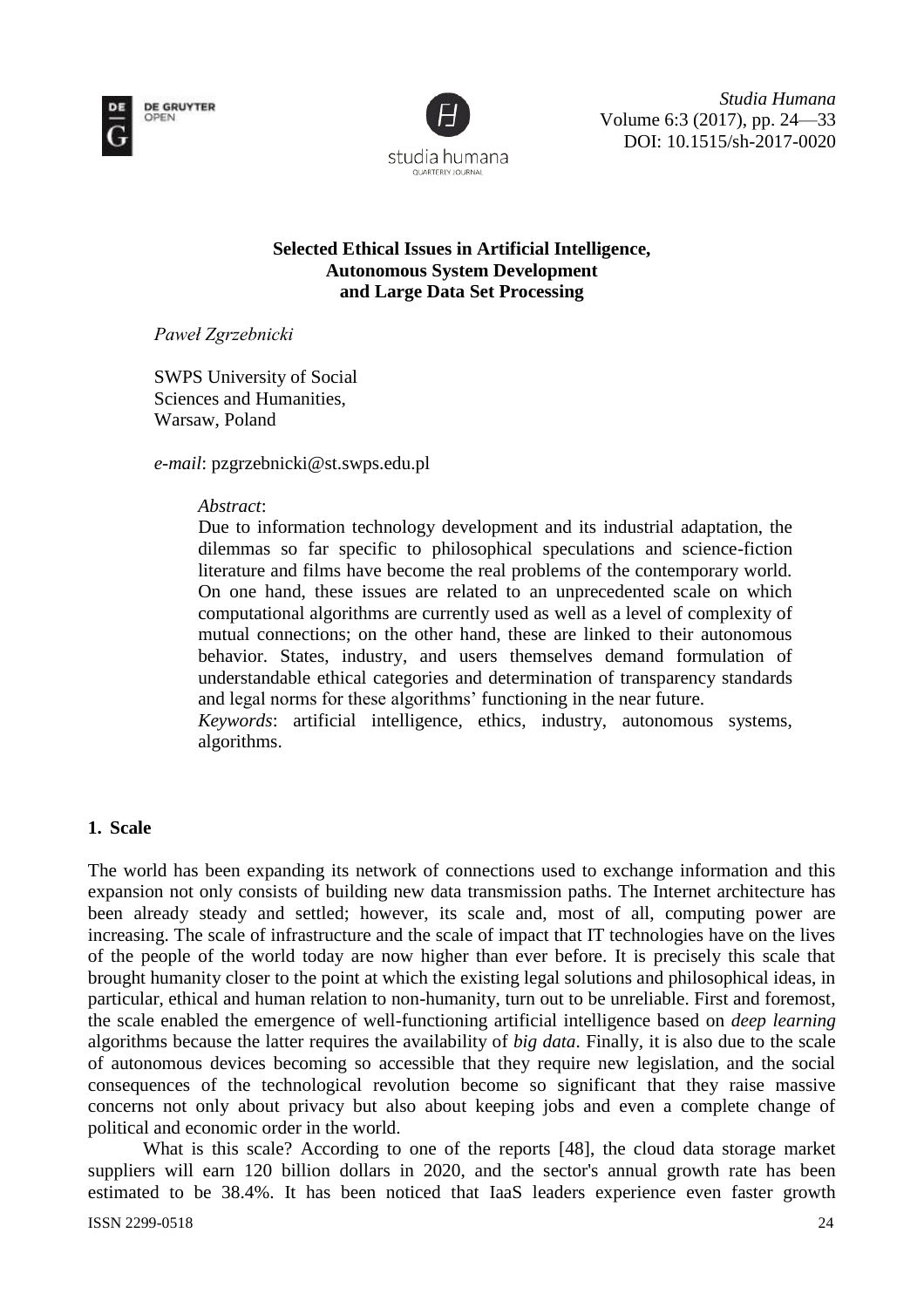



*Studia Humana* Volume 6:3 (2017), pp. 24—33 DOI: 10.1515/sh-2017-0020

# **Selected Ethical Issues in Artificial Intelligence, Autonomous System Development and Large Data Set Processing**

*Paweł Zgrzebnicki*

SWPS University of Social Sciences and Humanities, Warsaw, Poland

*e-mail*: pzgrzebnicki@st.swps.edu.pl

## *Abstract*:

Due to information technology development and its industrial adaptation, the dilemmas so far specific to philosophical speculations and science-fiction literature and films have become the real problems of the contemporary world. On one hand, these issues are related to an unprecedented scale on which computational algorithms are currently used as well as a level of complexity of mutual connections; on the other hand, these are linked to their autonomous behavior. States, industry, and users themselves demand formulation of understandable ethical categories and determination of transparency standards and legal norms for these algorithms' functioning in the near future.

*Keywords*: artificial intelligence, ethics, industry, autonomous systems, algorithms.

## **1. Scale**

The world has been expanding its network of connections used to exchange information and this expansion not only consists of building new data transmission paths. The Internet architecture has been already steady and settled; however, its scale and, most of all, computing power are increasing. The scale of infrastructure and the scale of impact that IT technologies have on the lives of the people of the world today are now higher than ever before. It is precisely this scale that brought humanity closer to the point at which the existing legal solutions and philosophical ideas, in particular, ethical and human relation to non-humanity, turn out to be unreliable. First and foremost, the scale enabled the emergence of well-functioning artificial intelligence based on *deep learning* algorithms because the latter requires the availability of *big data*. Finally, it is also due to the scale of autonomous devices becoming so accessible that they require new legislation, and the social consequences of the technological revolution become so significant that they raise massive concerns not only about privacy but also about keeping jobs and even a complete change of political and economic order in the world.

What is this scale? According to one of the reports [48], the cloud data storage market suppliers will earn 120 billion dollars in 2020, and the sector's annual growth rate has been estimated to be 38.4%. It has been noticed that IaaS leaders experience even faster growth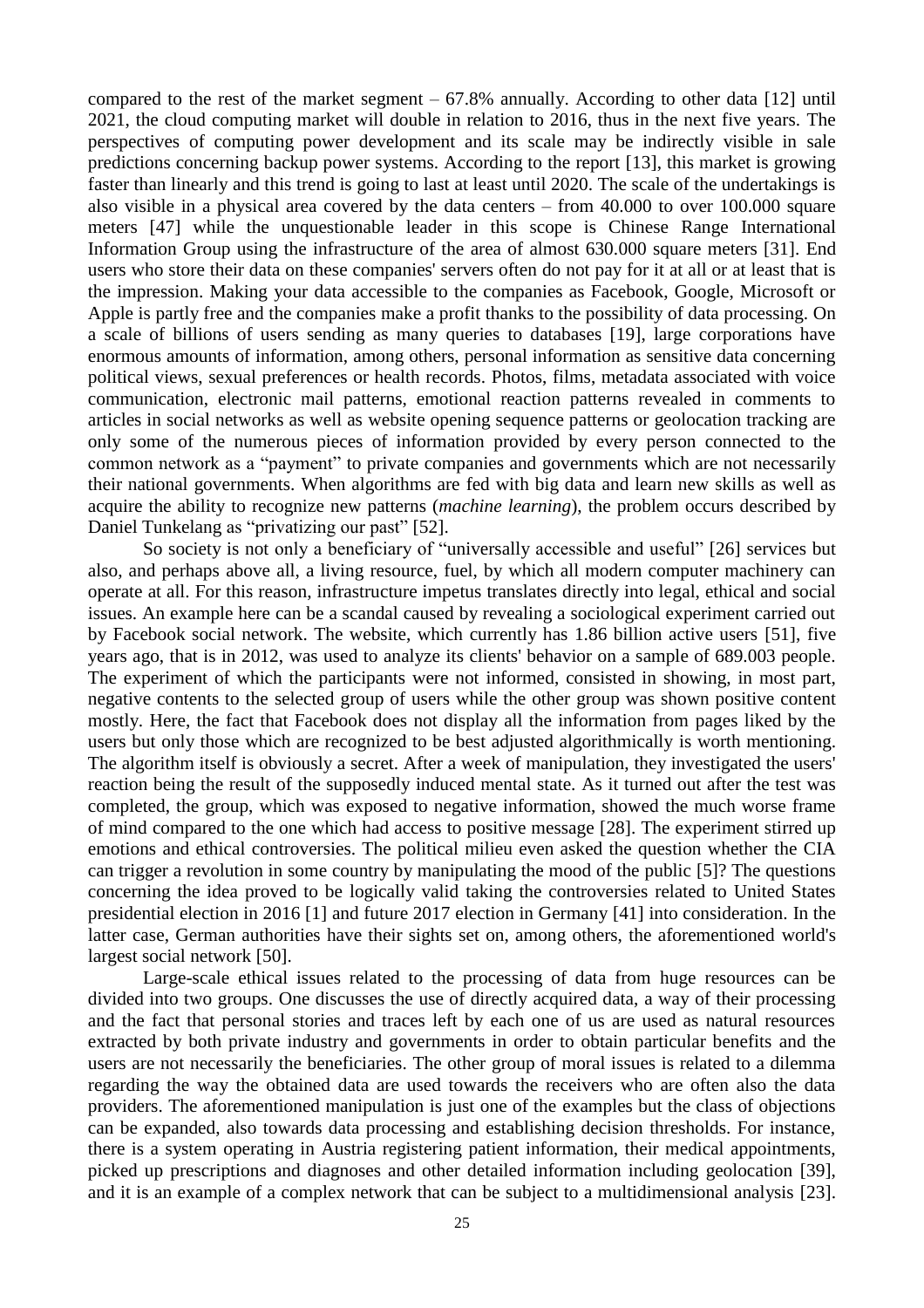compared to the rest of the market segment  $-67.8\%$  annually. According to other data [12] until 2021, the cloud computing market will double in relation to 2016, thus in the next five years. The perspectives of computing power development and its scale may be indirectly visible in sale predictions concerning backup power systems. According to the report [13], this market is growing faster than linearly and this trend is going to last at least until 2020. The scale of the undertakings is also visible in a physical area covered by the data centers – from 40.000 to over 100.000 square meters [47] while the unquestionable leader in this scope is Chinese Range International Information Group using the infrastructure of the area of almost 630,000 square meters [31]. End users who store their data on these companies' servers often do not pay for it at all or at least that is the impression. Making your data accessible to the companies as Facebook, Google, Microsoft or Apple is partly free and the companies make a profit thanks to the possibility of data processing. On a scale of billions of users sending as many queries to databases [19], large corporations have enormous amounts of information, among others, personal information as sensitive data concerning political views, sexual preferences or health records. Photos, films, metadata associated with voice communication, electronic mail patterns, emotional reaction patterns revealed in comments to articles in social networks as well as website opening sequence patterns or geolocation tracking are only some of the numerous pieces of information provided by every person connected to the common network as a "payment" to private companies and governments which are not necessarily their national governments. When algorithms are fed with big data and learn new skills as well as acquire the ability to recognize new patterns (*machine learning*), the problem occurs described by Daniel Tunkelang as "privatizing our past" [52].

So society is not only a beneficiary of "universally accessible and useful" [26] services but also, and perhaps above all, a living resource, fuel, by which all modern computer machinery can operate at all. For this reason, infrastructure impetus translates directly into legal, ethical and social issues. An example here can be a scandal caused by revealing a sociological experiment carried out by Facebook social network. The website, which currently has 1.86 billion active users [51], five years ago, that is in 2012, was used to analyze its clients' behavior on a sample of 689.003 people. The experiment of which the participants were not informed, consisted in showing, in most part, negative contents to the selected group of users while the other group was shown positive content mostly. Here, the fact that Facebook does not display all the information from pages liked by the users but only those which are recognized to be best adjusted algorithmically is worth mentioning. The algorithm itself is obviously a secret. After a week of manipulation, they investigated the users' reaction being the result of the supposedly induced mental state. As it turned out after the test was completed, the group, which was exposed to negative information, showed the much worse frame of mind compared to the one which had access to positive message [28]. The experiment stirred up emotions and ethical controversies. The political milieu even asked the question whether the CIA can trigger a revolution in some country by manipulating the mood of the public [5]? The questions concerning the idea proved to be logically valid taking the controversies related to United States presidential election in 2016 [1] and future 2017 election in Germany [41] into consideration. In the latter case, German authorities have their sights set on, among others, the aforementioned world's largest social network [50].

Large-scale ethical issues related to the processing of data from huge resources can be divided into two groups. One discusses the use of directly acquired data, a way of their processing and the fact that personal stories and traces left by each one of us are used as natural resources extracted by both private industry and governments in order to obtain particular benefits and the users are not necessarily the beneficiaries. The other group of moral issues is related to a dilemma regarding the way the obtained data are used towards the receivers who are often also the data providers. The aforementioned manipulation is just one of the examples but the class of objections can be expanded, also towards data processing and establishing decision thresholds. For instance, there is a system operating in Austria registering patient information, their medical appointments, picked up prescriptions and diagnoses and other detailed information including geolocation [39], and it is an example of a complex network that can be subject to a multidimensional analysis [23].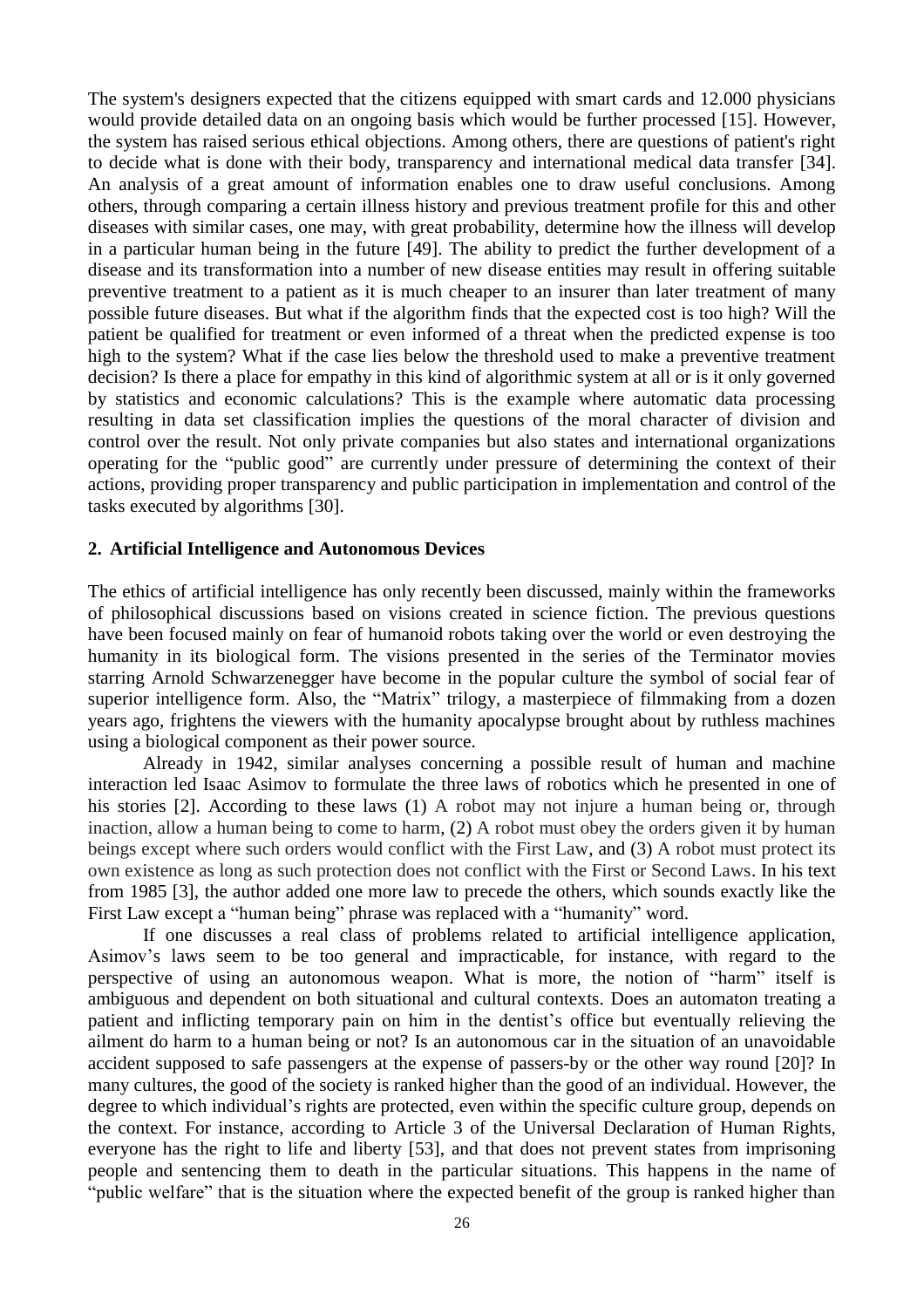The system's designers expected that the citizens equipped with smart cards and 12.000 physicians would provide detailed data on an ongoing basis which would be further processed [15]. However, the system has raised serious ethical objections. Among others, there are questions of patient's right to decide what is done with their body, transparency and international medical data transfer [34]. An analysis of a great amount of information enables one to draw useful conclusions. Among others, through comparing a certain illness history and previous treatment profile for this and other diseases with similar cases, one may, with great probability, determine how the illness will develop in a particular human being in the future [49]. The ability to predict the further development of a disease and its transformation into a number of new disease entities may result in offering suitable preventive treatment to a patient as it is much cheaper to an insurer than later treatment of many possible future diseases. But what if the algorithm finds that the expected cost is too high? Will the patient be qualified for treatment or even informed of a threat when the predicted expense is too high to the system? What if the case lies below the threshold used to make a preventive treatment decision? Is there a place for empathy in this kind of algorithmic system at all or is it only governed by statistics and economic calculations? This is the example where automatic data processing resulting in data set classification implies the questions of the moral character of division and control over the result. Not only private companies but also states and international organizations operating for the "public good" are currently under pressure of determining the context of their actions, providing proper transparency and public participation in implementation and control of the tasks executed by algorithms [30].

#### **2. Artificial Intelligence and Autonomous Devices**

The ethics of artificial intelligence has only recently been discussed, mainly within the frameworks of philosophical discussions based on visions created in science fiction. The previous questions have been focused mainly on fear of humanoid robots taking over the world or even destroying the humanity in its biological form. The visions presented in the series of the Terminator movies starring Arnold Schwarzenegger have become in the popular culture the symbol of social fear of superior intelligence form. Also, the "Matrix" trilogy, a masterpiece of filmmaking from a dozen years ago, frightens the viewers with the humanity apocalypse brought about by ruthless machines using a biological component as their power source.

Already in 1942, similar analyses concerning a possible result of human and machine interaction led Isaac Asimov to formulate the three laws of robotics which he presented in one of his stories [2]. According to these laws (1) A robot may not injure a human being or, through inaction, allow a human being to come to harm, (2) A robot must obey the orders given it by human beings except where such orders would conflict with the First Law, and (3) A robot must protect its own existence as long as such protection does not conflict with the First or Second Laws. In his text from 1985 [3], the author added one more law to precede the others, which sounds exactly like the First Law except a "human being" phrase was replaced with a "humanity" word.

If one discusses a real class of problems related to artificial intelligence application, Asimov's laws seem to be too general and impracticable, for instance, with regard to the perspective of using an autonomous weapon. What is more, the notion of "harm" itself is ambiguous and dependent on both situational and cultural contexts. Does an automaton treating a patient and inflicting temporary pain on him in the dentist's office but eventually relieving the ailment do harm to a human being or not? Is an autonomous car in the situation of an unavoidable accident supposed to safe passengers at the expense of passers-by or the other way round [20]? In many cultures, the good of the society is ranked higher than the good of an individual. However, the degree to which individual's rights are protected, even within the specific culture group, depends on the context. For instance, according to Article 3 of the Universal Declaration of Human Rights, everyone has the right to life and liberty [53], and that does not prevent states from imprisoning people and sentencing them to death in the particular situations. This happens in the name of "public welfare" that is the situation where the expected benefit of the group is ranked higher than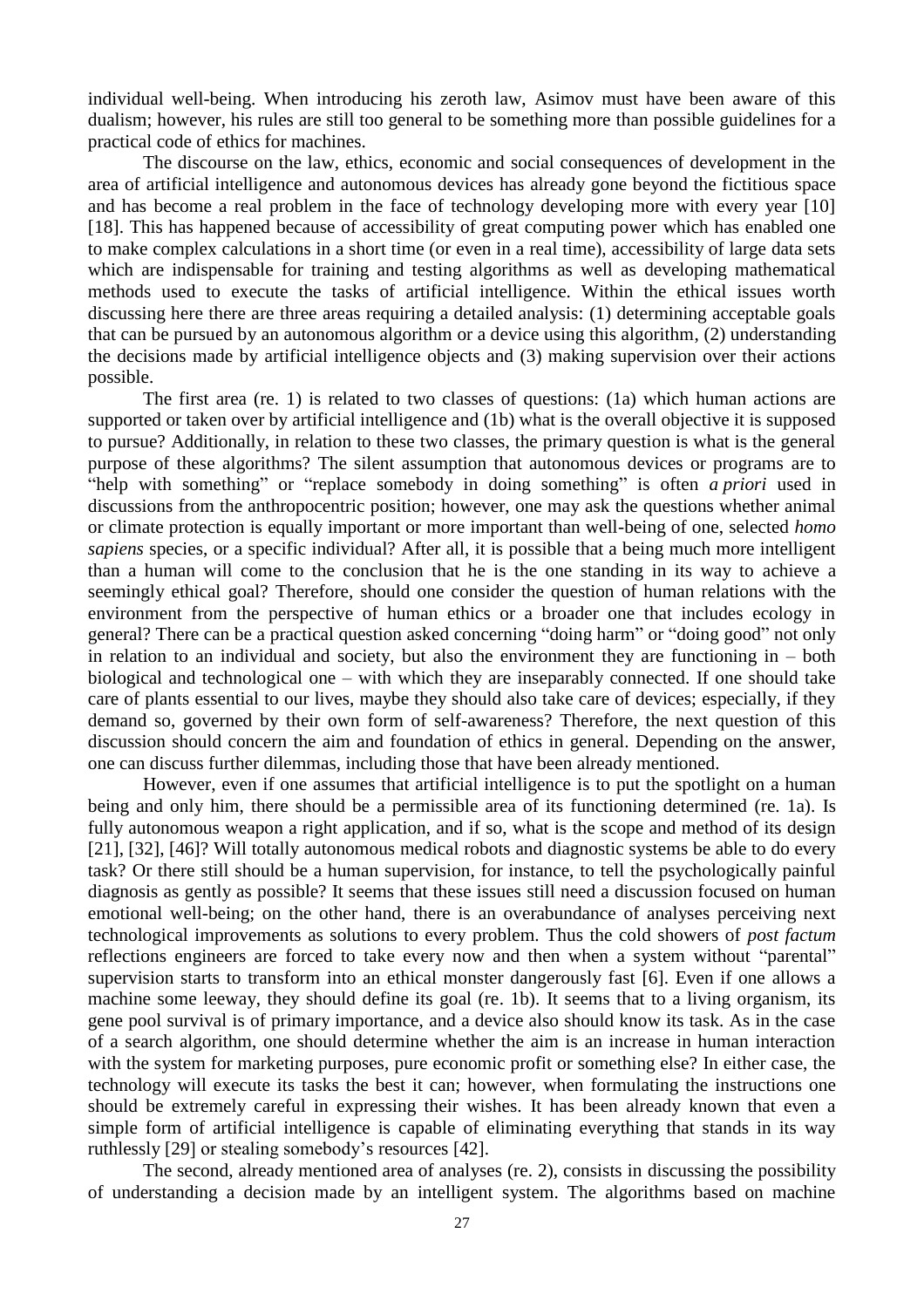individual well-being. When introducing his zeroth law, Asimov must have been aware of this dualism; however, his rules are still too general to be something more than possible guidelines for a practical code of ethics for machines.

The discourse on the law, ethics, economic and social consequences of development in the area of artificial intelligence and autonomous devices has already gone beyond the fictitious space and has become a real problem in the face of technology developing more with every year [10] [18]. This has happened because of accessibility of great computing power which has enabled one to make complex calculations in a short time (or even in a real time), accessibility of large data sets which are indispensable for training and testing algorithms as well as developing mathematical methods used to execute the tasks of artificial intelligence. Within the ethical issues worth discussing here there are three areas requiring a detailed analysis: (1) determining acceptable goals that can be pursued by an autonomous algorithm or a device using this algorithm, (2) understanding the decisions made by artificial intelligence objects and (3) making supervision over their actions possible.

The first area (re. 1) is related to two classes of questions: (1a) which human actions are supported or taken over by artificial intelligence and (1b) what is the overall objective it is supposed to pursue? Additionally, in relation to these two classes, the primary question is what is the general purpose of these algorithms? The silent assumption that autonomous devices or programs are to "help with something" or "replace somebody in doing something" is often *a priori* used in discussions from the anthropocentric position; however, one may ask the questions whether animal or climate protection is equally important or more important than well-being of one, selected *homo sapiens* species, or a specific individual? After all, it is possible that a being much more intelligent than a human will come to the conclusion that he is the one standing in its way to achieve a seemingly ethical goal? Therefore, should one consider the question of human relations with the environment from the perspective of human ethics or a broader one that includes ecology in general? There can be a practical question asked concerning "doing harm" or "doing good" not only in relation to an individual and society, but also the environment they are functioning in  $-$  both biological and technological one – with which they are inseparably connected. If one should take care of plants essential to our lives, maybe they should also take care of devices; especially, if they demand so, governed by their own form of self-awareness? Therefore, the next question of this discussion should concern the aim and foundation of ethics in general. Depending on the answer, one can discuss further dilemmas, including those that have been already mentioned.

However, even if one assumes that artificial intelligence is to put the spotlight on a human being and only him, there should be a permissible area of its functioning determined (re. 1a). Is fully autonomous weapon a right application, and if so, what is the scope and method of its design [21], [32], [46]? Will totally autonomous medical robots and diagnostic systems be able to do every task? Or there still should be a human supervision, for instance, to tell the psychologically painful diagnosis as gently as possible? It seems that these issues still need a discussion focused on human emotional well-being; on the other hand, there is an overabundance of analyses perceiving next technological improvements as solutions to every problem. Thus the cold showers of *post factum* reflections engineers are forced to take every now and then when a system without "parental" supervision starts to transform into an ethical monster dangerously fast [6]. Even if one allows a machine some leeway, they should define its goal (re. 1b). It seems that to a living organism, its gene pool survival is of primary importance, and a device also should know its task. As in the case of a search algorithm, one should determine whether the aim is an increase in human interaction with the system for marketing purposes, pure economic profit or something else? In either case, the technology will execute its tasks the best it can; however, when formulating the instructions one should be extremely careful in expressing their wishes. It has been already known that even a simple form of artificial intelligence is capable of eliminating everything that stands in its way ruthlessly [29] or stealing somebody's resources [42].

The second, already mentioned area of analyses (re. 2), consists in discussing the possibility of understanding a decision made by an intelligent system. The algorithms based on machine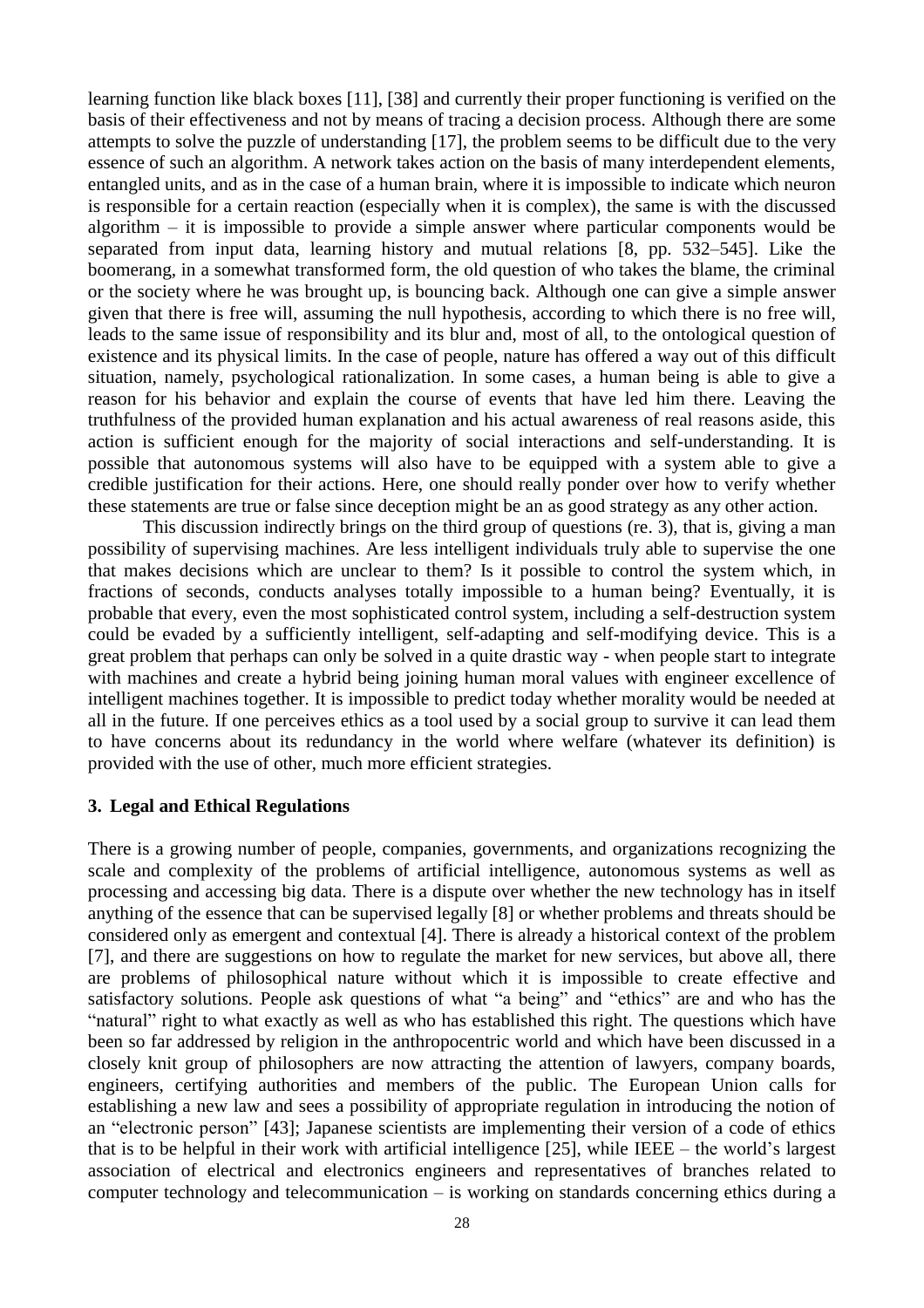learning function like black boxes [11], [38] and currently their proper functioning is verified on the basis of their effectiveness and not by means of tracing a decision process. Although there are some attempts to solve the puzzle of understanding [17], the problem seems to be difficult due to the very essence of such an algorithm. A network takes action on the basis of many interdependent elements, entangled units, and as in the case of a human brain, where it is impossible to indicate which neuron is responsible for a certain reaction (especially when it is complex), the same is with the discussed algorithm – it is impossible to provide a simple answer where particular components would be separated from input data, learning history and mutual relations [8, pp. 532–545]. Like the boomerang, in a somewhat transformed form, the old question of who takes the blame, the criminal or the society where he was brought up, is bouncing back. Although one can give a simple answer given that there is free will, assuming the null hypothesis, according to which there is no free will, leads to the same issue of responsibility and its blur and, most of all, to the ontological question of existence and its physical limits. In the case of people, nature has offered a way out of this difficult situation, namely, psychological rationalization. In some cases, a human being is able to give a reason for his behavior and explain the course of events that have led him there. Leaving the truthfulness of the provided human explanation and his actual awareness of real reasons aside, this action is sufficient enough for the majority of social interactions and self-understanding. It is possible that autonomous systems will also have to be equipped with a system able to give a credible justification for their actions. Here, one should really ponder over how to verify whether these statements are true or false since deception might be an as good strategy as any other action.

This discussion indirectly brings on the third group of questions (re. 3), that is, giving a man possibility of supervising machines. Are less intelligent individuals truly able to supervise the one that makes decisions which are unclear to them? Is it possible to control the system which, in fractions of seconds, conducts analyses totally impossible to a human being? Eventually, it is probable that every, even the most sophisticated control system, including a self-destruction system could be evaded by a sufficiently intelligent, self-adapting and self-modifying device. This is a great problem that perhaps can only be solved in a quite drastic way - when people start to integrate with machines and create a hybrid being joining human moral values with engineer excellence of intelligent machines together. It is impossible to predict today whether morality would be needed at all in the future. If one perceives ethics as a tool used by a social group to survive it can lead them to have concerns about its redundancy in the world where welfare (whatever its definition) is provided with the use of other, much more efficient strategies.

### **3. Legal and Ethical Regulations**

There is a growing number of people, companies, governments, and organizations recognizing the scale and complexity of the problems of artificial intelligence, autonomous systems as well as processing and accessing big data. There is a dispute over whether the new technology has in itself anything of the essence that can be supervised legally [8] or whether problems and threats should be considered only as emergent and contextual [4]. There is already a historical context of the problem [7], and there are suggestions on how to regulate the market for new services, but above all, there are problems of philosophical nature without which it is impossible to create effective and satisfactory solutions. People ask questions of what "a being" and "ethics" are and who has the "natural" right to what exactly as well as who has established this right. The questions which have been so far addressed by religion in the anthropocentric world and which have been discussed in a closely knit group of philosophers are now attracting the attention of lawyers, company boards, engineers, certifying authorities and members of the public. The European Union calls for establishing a new law and sees a possibility of appropriate regulation in introducing the notion of an "electronic person" [43]; Japanese scientists are implementing their version of a code of ethics that is to be helpful in their work with artificial intelligence [25], while IEEE – the world's largest association of electrical and electronics engineers and representatives of branches related to computer technology and telecommunication – is working on standards concerning ethics during a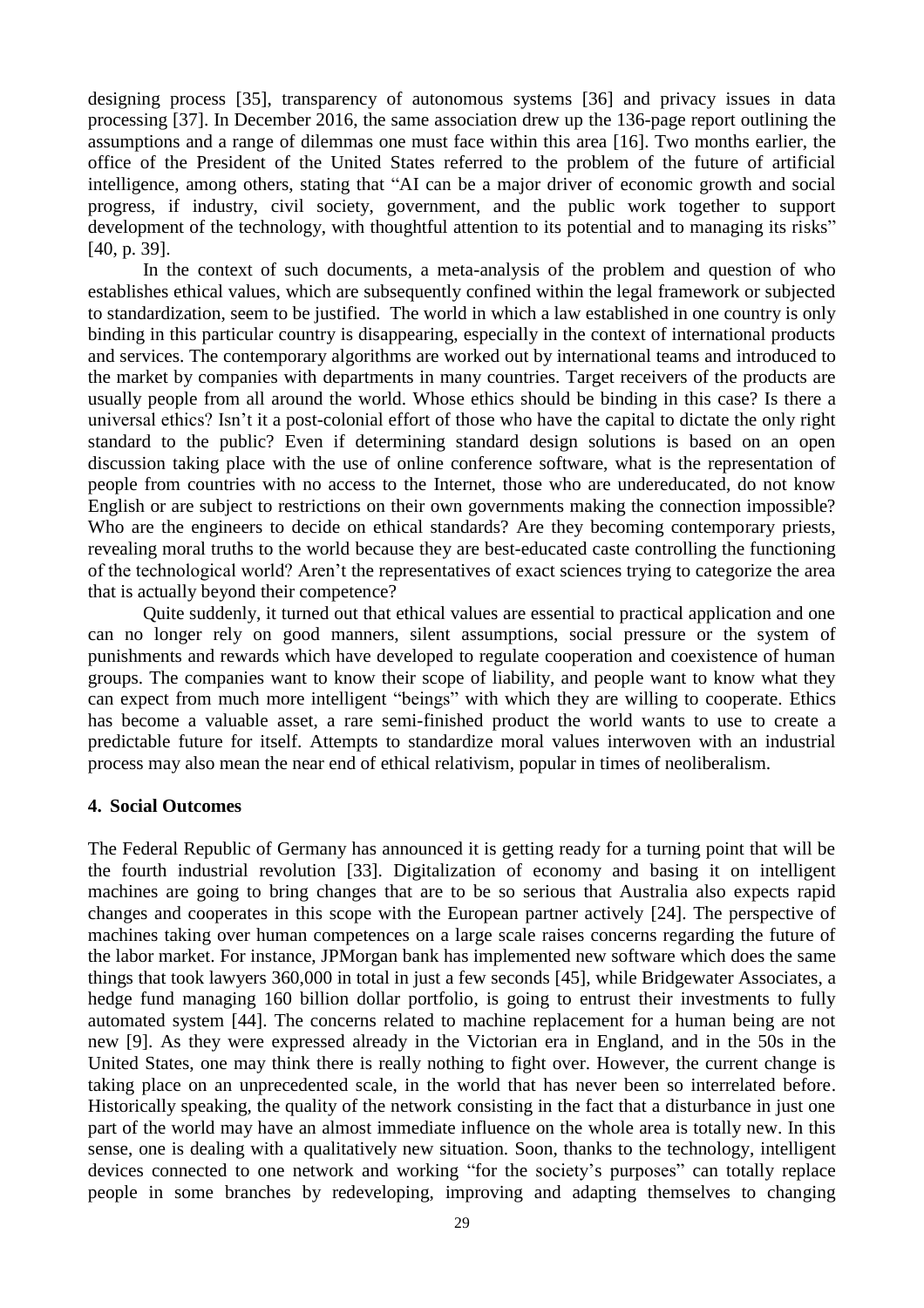designing process [35], transparency of autonomous systems [36] and privacy issues in data processing [37]. In December 2016, the same association drew up the 136-page report outlining the assumptions and a range of dilemmas one must face within this area [16]. Two months earlier, the office of the President of the United States referred to the problem of the future of artificial intelligence, among others, stating that "AI can be a major driver of economic growth and social progress, if industry, civil society, government, and the public work together to support development of the technology, with thoughtful attention to its potential and to managing its risks" [40, p. 39].

In the context of such documents, a meta-analysis of the problem and question of who establishes ethical values, which are subsequently confined within the legal framework or subjected to standardization, seem to be justified. The world in which a law established in one country is only binding in this particular country is disappearing, especially in the context of international products and services. The contemporary algorithms are worked out by international teams and introduced to the market by companies with departments in many countries. Target receivers of the products are usually people from all around the world. Whose ethics should be binding in this case? Is there a universal ethics? Isn't it a post-colonial effort of those who have the capital to dictate the only right standard to the public? Even if determining standard design solutions is based on an open discussion taking place with the use of online conference software, what is the representation of people from countries with no access to the Internet, those who are undereducated, do not know English or are subject to restrictions on their own governments making the connection impossible? Who are the engineers to decide on ethical standards? Are they becoming contemporary priests, revealing moral truths to the world because they are best-educated caste controlling the functioning of the technological world? Aren't the representatives of exact sciences trying to categorize the area that is actually beyond their competence?

Quite suddenly, it turned out that ethical values are essential to practical application and one can no longer rely on good manners, silent assumptions, social pressure or the system of punishments and rewards which have developed to regulate cooperation and coexistence of human groups. The companies want to know their scope of liability, and people want to know what they can expect from much more intelligent "beings" with which they are willing to cooperate. Ethics has become a valuable asset, a rare semi-finished product the world wants to use to create a predictable future for itself. Attempts to standardize moral values interwoven with an industrial process may also mean the near end of ethical relativism, popular in times of neoliberalism.

### **4. Social Outcomes**

The Federal Republic of Germany has announced it is getting ready for a turning point that will be the fourth industrial revolution [33]. Digitalization of economy and basing it on intelligent machines are going to bring changes that are to be so serious that Australia also expects rapid changes and cooperates in this scope with the European partner actively [24]. The perspective of machines taking over human competences on a large scale raises concerns regarding the future of the labor market. For instance, JPMorgan bank has implemented new software which does the same things that took lawyers 360,000 in total in just a few seconds [45], while Bridgewater Associates, a hedge fund managing 160 billion dollar portfolio, is going to entrust their investments to fully automated system [44]. The concerns related to machine replacement for a human being are not new [9]. As they were expressed already in the Victorian era in England, and in the 50s in the United States, one may think there is really nothing to fight over. However, the current change is taking place on an unprecedented scale, in the world that has never been so interrelated before. Historically speaking, the quality of the network consisting in the fact that a disturbance in just one part of the world may have an almost immediate influence on the whole area is totally new. In this sense, one is dealing with a qualitatively new situation. Soon, thanks to the technology, intelligent devices connected to one network and working "for the society's purposes" can totally replace people in some branches by redeveloping, improving and adapting themselves to changing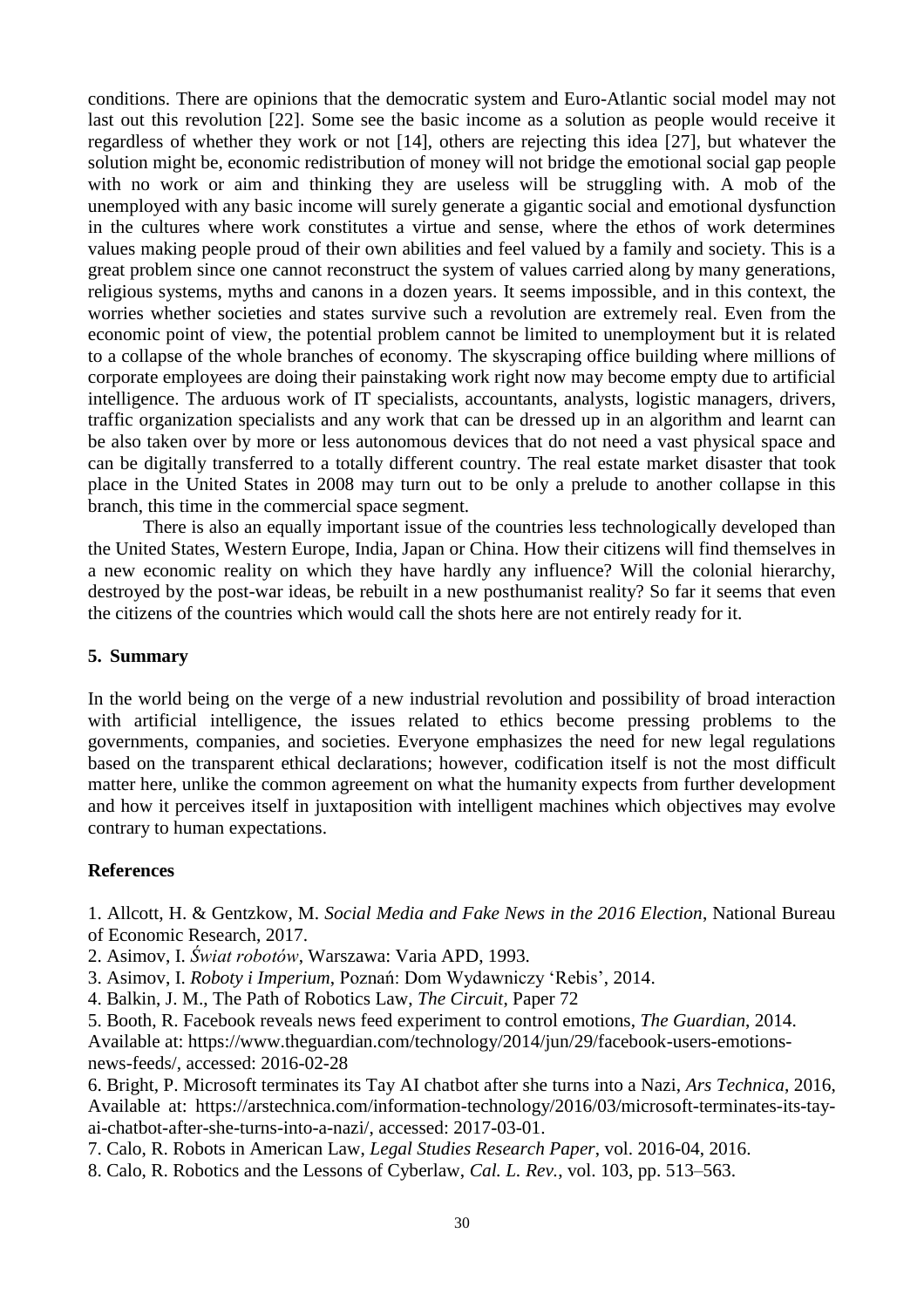conditions. There are opinions that the democratic system and Euro-Atlantic social model may not last out this revolution [22]. Some see the basic income as a solution as people would receive it regardless of whether they work or not [14], others are rejecting this idea [27], but whatever the solution might be, economic redistribution of money will not bridge the emotional social gap people with no work or aim and thinking they are useless will be struggling with. A mob of the unemployed with any basic income will surely generate a gigantic social and emotional dysfunction in the cultures where work constitutes a virtue and sense, where the ethos of work determines values making people proud of their own abilities and feel valued by a family and society. This is a great problem since one cannot reconstruct the system of values carried along by many generations, religious systems, myths and canons in a dozen years. It seems impossible, and in this context, the worries whether societies and states survive such a revolution are extremely real. Even from the economic point of view, the potential problem cannot be limited to unemployment but it is related to a collapse of the whole branches of economy. The skyscraping office building where millions of corporate employees are doing their painstaking work right now may become empty due to artificial intelligence. The arduous work of IT specialists, accountants, analysts, logistic managers, drivers, traffic organization specialists and any work that can be dressed up in an algorithm and learnt can be also taken over by more or less autonomous devices that do not need a vast physical space and can be digitally transferred to a totally different country. The real estate market disaster that took place in the United States in 2008 may turn out to be only a prelude to another collapse in this branch, this time in the commercial space segment.

There is also an equally important issue of the countries less technologically developed than the United States, Western Europe, India, Japan or China. How their citizens will find themselves in a new economic reality on which they have hardly any influence? Will the colonial hierarchy, destroyed by the post-war ideas, be rebuilt in a new posthumanist reality? So far it seems that even the citizens of the countries which would call the shots here are not entirely ready for it.

### **5. Summary**

In the world being on the verge of a new industrial revolution and possibility of broad interaction with artificial intelligence, the issues related to ethics become pressing problems to the governments, companies, and societies. Everyone emphasizes the need for new legal regulations based on the transparent ethical declarations; however, codification itself is not the most difficult matter here, unlike the common agreement on what the humanity expects from further development and how it perceives itself in juxtaposition with intelligent machines which objectives may evolve contrary to human expectations.

### **References**

1. Allcott, H. & Gentzkow, M. *Social Media and Fake News in the 2016 Election*, National Bureau of Economic Research, 2017.

- 2. Asimov, I. *Świat robotów*, Warszawa: Varia APD, 1993.
- 3. Asimov, I. *Roboty i Imperium*, Poznań: Dom Wydawniczy 'Rebis', 2014.
- 4. Balkin, J. M., The Path of Robotics Law, *The Circuit*, Paper 72
- 5. Booth, R. Facebook reveals news feed experiment to control emotions, *The Guardian*, 2014. Available at: https://www.theguardian.com/technology/2014/jun/29/facebook-users-emotionsnews-feeds/, accessed: 2016-02-28
- 6. Bright, P. Microsoft terminates its Tay AI chatbot after she turns into a Nazi, *Ars Technica*, 2016, Available at: https://arstechnica.com/information-technology/2016/03/microsoft-terminates-its-tayai-chatbot-after-she-turns-into-a-nazi/, accessed: 2017-03-01.
- 7. Calo, R. Robots in American Law, *Legal Studies Research Paper*, vol. 2016-04, 2016.
- 8. Calo, R. Robotics and the Lessons of Cyberlaw, *Cal. L. Rev.*, vol. 103, pp. 513–563.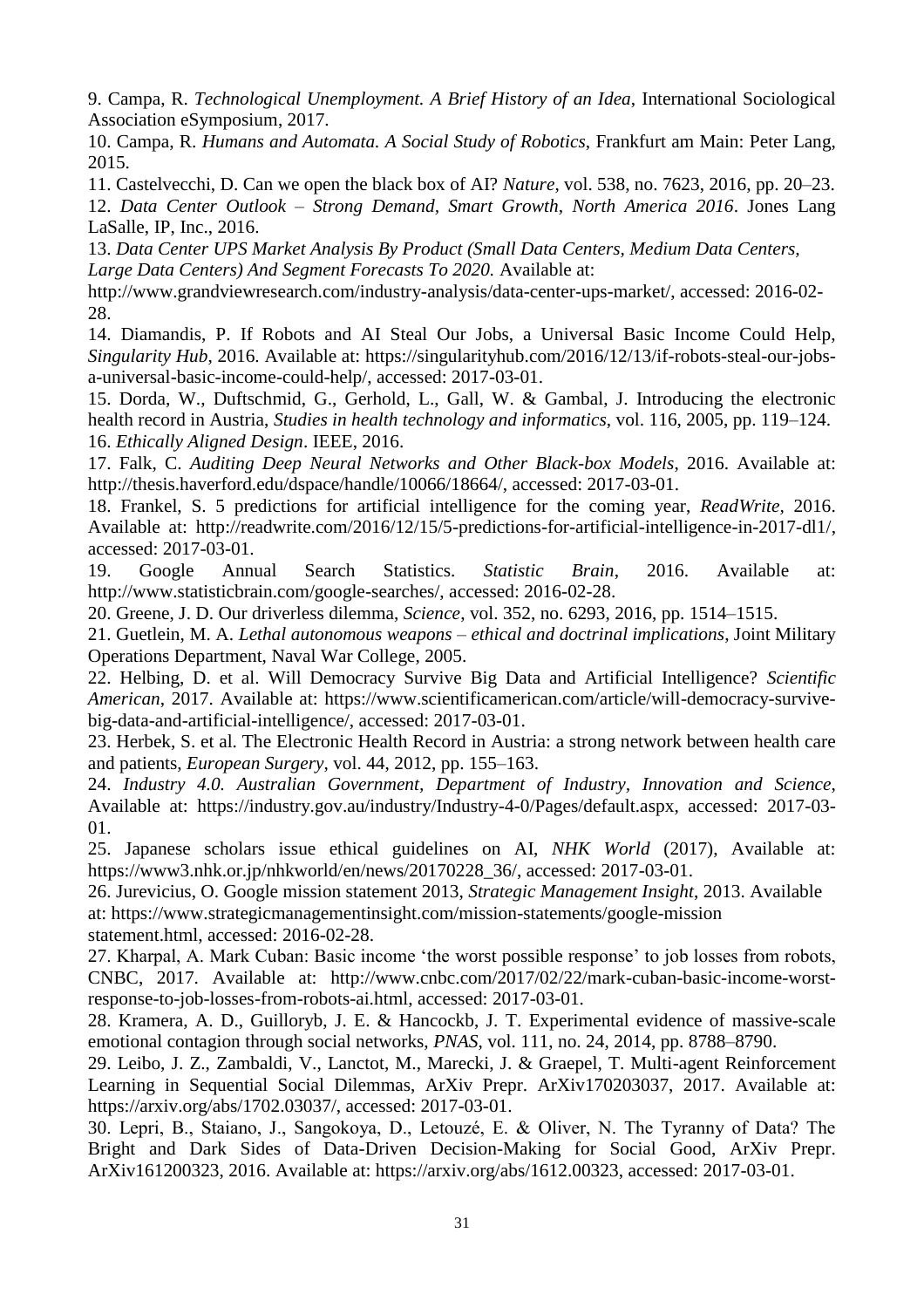9. Campa, R. *Technological Unemployment. A Brief History of an Idea*, International Sociological Association eSymposium, 2017.

10. Campa, R. *Humans and Automata. A Social Study of Robotics*, Frankfurt am Main: Peter Lang, 2015.

11. Castelvecchi, D. Can we open the black box of AI? *Nature*, vol. 538, no. 7623, 2016, pp. 20–23.

12. *Data Center Outlook* – *Strong Demand, Smart Growth, North America 2016*. Jones Lang LaSalle, IP, Inc., 2016.

13. *Data Center UPS Market Analysis By Product (Small Data Centers, Medium Data Centers, Large Data Centers) And Segment Forecasts To 2020.* Available at:

http://www.grandviewresearch.com/industry-analysis/data-center-ups-market/, accessed: 2016-02- 28.

14. Diamandis, P. If Robots and AI Steal Our Jobs, a Universal Basic Income Could Help, *Singularity Hub*, 2016. Available at: https://singularityhub.com/2016/12/13/if-robots-steal-our-jobsa-universal-basic-income-could-help/, accessed: 2017-03-01.

15. Dorda, W., Duftschmid, G., Gerhold, L., Gall, W. & Gambal, J. Introducing the electronic health record in Austria, *Studies in health technology and informatics*, vol. 116, 2005, pp. 119–124. 16. *Ethically Aligned Design*. IEEE, 2016.

17. Falk, C. *Auditing Deep Neural Networks and Other Black-box Models*, 2016. Available at: http://thesis.haverford.edu/dspace/handle/10066/18664/, accessed: 2017-03-01.

18. Frankel, S. 5 predictions for artificial intelligence for the coming year, *ReadWrite,* 2016. Available at: http://readwrite.com/2016/12/15/5-predictions-for-artificial-intelligence-in-2017-dl1/, accessed: 2017-03-01.

19. Google Annual Search Statistics. *Statistic Brain*, 2016. Available at: http://www.statisticbrain.com/google-searches/, accessed: 2016-02-28.

20. Greene, J. D. Our driverless dilemma, *Science*, vol. 352, no. 6293, 2016, pp. 1514–1515.

21. Guetlein, M. A. *Lethal autonomous weapons – ethical and doctrinal implications*, Joint Military Operations Department, Naval War College, 2005.

22. Helbing, D. et al. Will Democracy Survive Big Data and Artificial Intelligence? *Scientific American*, 2017. Available at: https://www.scientificamerican.com/article/will-democracy-survivebig-data-and-artificial-intelligence/, accessed: 2017-03-01.

23. Herbek, S. et al. The Electronic Health Record in Austria: a strong network between health care and patients, *European Surgery*, vol. 44, 2012, pp. 155–163.

24. *Industry 4.0. Australian Government, Department of Industry, Innovation and Science*, Available at: https://industry.gov.au/industry/Industry-4-0/Pages/default.aspx, accessed: 2017-03- 01.

25. Japanese scholars issue ethical guidelines on AI, *NHK World* (2017), Available at: https://www3.nhk.or.jp/nhkworld/en/news/20170228\_36/, accessed: 2017-03-01.

26. Jurevicius, O. Google mission statement 2013, *Strategic Management Insight*, 2013. Available at: https://www.strategicmanagementinsight.com/mission-statements/google-mission statement.html, accessed: 2016-02-28.

27. Kharpal, A. Mark Cuban: Basic income 'the worst possible response' to job losses from robots, CNBC, 2017. Available at: http://www.cnbc.com/2017/02/22/mark-cuban-basic-income-worstresponse-to-job-losses-from-robots-ai.html, accessed: 2017-03-01.

28. Kramera, A. D., Guilloryb, J. E. & Hancockb, J. T. Experimental evidence of massive-scale emotional contagion through social networks, *PNAS*, vol. 111, no. 24, 2014, pp. 8788–8790.

29. Leibo, J. Z., Zambaldi, V., Lanctot, M., Marecki, J. & Graepel, T. Multi-agent Reinforcement Learning in Sequential Social Dilemmas, ArXiv Prepr. ArXiv170203037, 2017. Available at: https://arxiv.org/abs/1702.03037/, accessed: 2017-03-01.

30. Lepri, B., Staiano, J., Sangokoya, D., Letouzé, E. & Oliver, N. The Tyranny of Data? The Bright and Dark Sides of Data-Driven Decision-Making for Social Good, ArXiv Prepr. ArXiv161200323, 2016. Available at: https://arxiv.org/abs/1612.00323, accessed: 2017-03-01.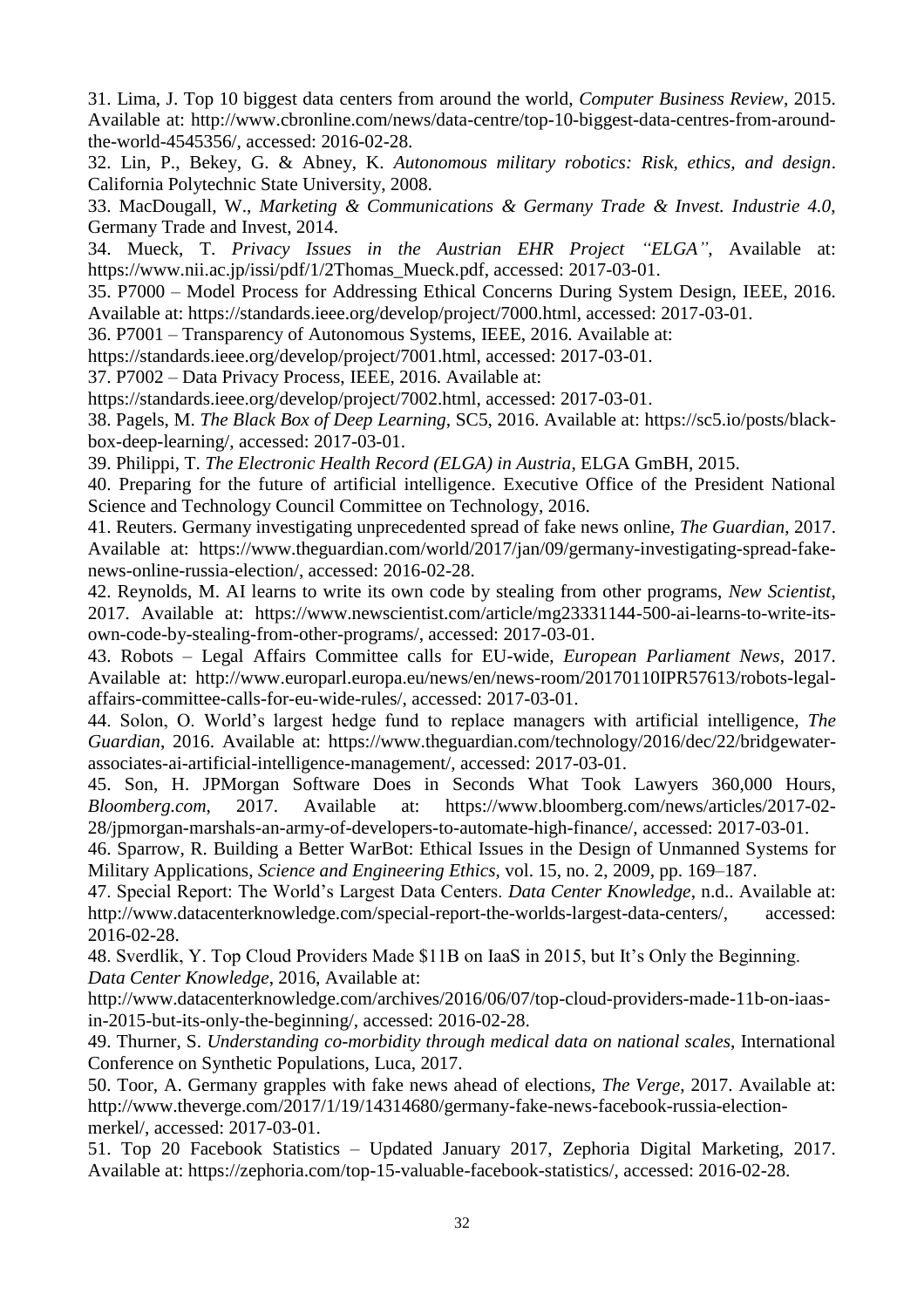31. Lima, J. Top 10 biggest data centers from around the world, *Computer Business Review*, 2015. Available at: http://www.cbronline.com/news/data-centre/top-10-biggest-data-centres-from-aroundthe-world-4545356/, accessed: 2016-02-28.

32. Lin, P., Bekey, G. & Abney, K. *Autonomous military robotics: Risk, ethics, and design*. California Polytechnic State University, 2008.

33. MacDougall, W., *Marketing & Communications & Germany Trade & Invest. Industrie 4.0*, Germany Trade and Invest, 2014.

34. Mueck, T. *Privacy Issues in the Austrian EHR Project "ELGA"*, Available at: https://www.nii.ac.jp/issi/pdf/1/2Thomas\_Mueck.pdf, accessed: 2017-03-01.

35. P7000 – Model Process for Addressing Ethical Concerns During System Design, IEEE, 2016. Available at: https://standards.ieee.org/develop/project/7000.html, accessed: 2017-03-01.

36. P7001 – Transparency of Autonomous Systems, IEEE, 2016. Available at:

https://standards.ieee.org/develop/project/7001.html, accessed: 2017-03-01.

37. P7002 – Data Privacy Process, IEEE, 2016. Available at:

https://standards.ieee.org/develop/project/7002.html, accessed: 2017-03-01.

38. Pagels, M. *The Black Box of Deep Learning*, SC5, 2016. Available at: https://sc5.io/posts/blackbox-deep-learning/, accessed: 2017-03-01.

39. Philippi, T. *The Electronic Health Record (ELGA) in Austria*, ELGA GmBH, 2015.

40. Preparing for the future of artificial intelligence. Executive Office of the President National Science and Technology Council Committee on Technology, 2016.

41. Reuters. Germany investigating unprecedented spread of fake news online, *The Guardian*, 2017. Available at: https://www.theguardian.com/world/2017/jan/09/germany-investigating-spread-fakenews-online-russia-election/, accessed: 2016-02-28.

42. Reynolds, M. AI learns to write its own code by stealing from other programs, *New Scientist*, 2017. Available at: https://www.newscientist.com/article/mg23331144-500-ai-learns-to-write-itsown-code-by-stealing-from-other-programs/, accessed: 2017-03-01.

43. Robots – Legal Affairs Committee calls for EU-wide, *European Parliament News*, 2017. Available at: http://www.europarl.europa.eu/news/en/news-room/20170110IPR57613/robots-legalaffairs-committee-calls-for-eu-wide-rules/, accessed: 2017-03-01.

44. Solon, O. World's largest hedge fund to replace managers with artificial intelligence, *The Guardian*, 2016. Available at: https://www.theguardian.com/technology/2016/dec/22/bridgewaterassociates-ai-artificial-intelligence-management/, accessed: 2017-03-01.

45. Son, H. JPMorgan Software Does in Seconds What Took Lawyers 360,000 Hours, *Bloomberg.com*, 2017. Available at: https://www.bloomberg.com/news/articles/2017-02- 28/jpmorgan-marshals-an-army-of-developers-to-automate-high-finance/, accessed: 2017-03-01.

46. Sparrow, R. Building a Better WarBot: Ethical Issues in the Design of Unmanned Systems for Military Applications, *Science and Engineering Ethics*, vol. 15, no. 2, 2009, pp. 169–187.

47. Special Report: The World's Largest Data Centers. *Data Center Knowledge*, n.d.. Available at: http://www.datacenterknowledge.com/special-report-the-worlds-largest-data-centers/, accessed: 2016-02-28.

48. Sverdlik, Y. Top Cloud Providers Made \$11B on IaaS in 2015, but It's Only the Beginning. *Data Center Knowledge*, 2016, Available at:

http://www.datacenterknowledge.com/archives/2016/06/07/top-cloud-providers-made-11b-on-iaasin-2015-but-its-only-the-beginning/, accessed: 2016-02-28.

49. Thurner, S. *Understanding co-morbidity through medical data on national scales*, International Conference on Synthetic Populations, Luca, 2017.

50. Toor, A. Germany grapples with fake news ahead of elections, *The Verge*, 2017. Available at: http://www.theverge.com/2017/1/19/14314680/germany-fake-news-facebook-russia-electionmerkel/, accessed: 2017-03-01.

51. Top 20 Facebook Statistics – Updated January 2017, Zephoria Digital Marketing, 2017. Available at: https://zephoria.com/top-15-valuable-facebook-statistics/, accessed: 2016-02-28.